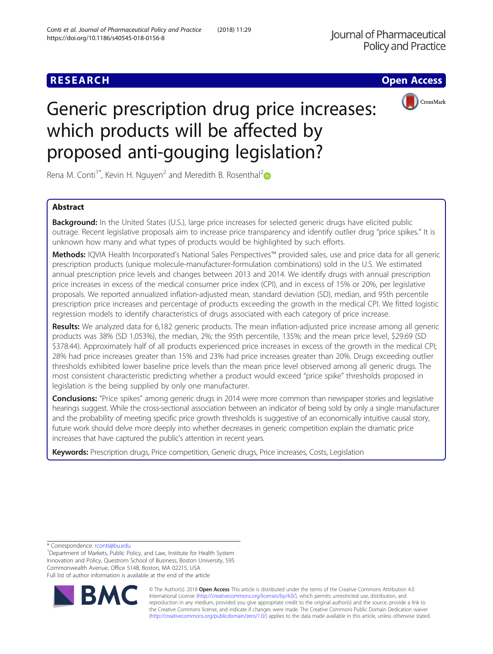## **RESEARCH CHE Open Access**



# Generic prescription drug price increases: which products will be affected by proposed anti-gouging legislation?

Rena M. Conti<sup>1\*</sup>, Kevin H. Nguyen<sup>[2](http://orcid.org/0000-0003-3410-0184)</sup> and Meredith B. Rosenthal<sup>2</sup> $\bullet$ 

### Abstract

Background: In the United States (U.S.), large price increases for selected generic drugs have elicited public outrage. Recent legislative proposals aim to increase price transparency and identify outlier drug "price spikes." It is unknown how many and what types of products would be highlighted by such efforts.

Methods: IQVIA Health Incorporated's National Sales Perspectives™ provided sales, use and price data for all generic prescription products (unique molecule-manufacturer-formulation combinations) sold in the U.S. We estimated annual prescription price levels and changes between 2013 and 2014. We identify drugs with annual prescription price increases in excess of the medical consumer price index (CPI), and in excess of 15% or 20%, per legislative proposals. We reported annualized inflation-adjusted mean, standard deviation (SD), median, and 95th percentile prescription price increases and percentage of products exceeding the growth in the medical CPI. We fitted logistic regression models to identify characteristics of drugs associated with each category of price increase.

Results: We analyzed data for 6,182 generic products. The mean inflation-adjusted price increase among all generic products was 38% (SD 1,053%), the median, 2%; the 95th percentile, 135%; and the mean price level, \$29.69 (SD \$378.44). Approximately half of all products experienced price increases in excess of the growth in the medical CPI; 28% had price increases greater than 15% and 23% had price increases greater than 20%. Drugs exceeding outlier thresholds exhibited lower baseline price levels than the mean price level observed among all generic drugs. The most consistent characteristic predicting whether a product would exceed "price spike" thresholds proposed in legislation is the being supplied by only one manufacturer.

**Conclusions:** "Price spikes" among generic drugs in 2014 were more common than newspaper stories and legislative hearings suggest. While the cross-sectional association between an indicator of being sold by only a single manufacturer and the probability of meeting specific price growth thresholds is suggestive of an economically intuitive causal story, future work should delve more deeply into whether decreases in generic competition explain the dramatic price increases that have captured the public's attention in recent years.

Keywords: Prescription drugs, Price competition, Generic drugs, Price increases, Costs, Legislation

\* Correspondence: [rconti@bu.edu](mailto:rconti@bu.edu) <sup>1</sup>

<sup>1</sup>Department of Markets, Public Policy, and Law, Institute for Health System Innovation and Policy, Questrom School of Business, Boston University, 595 Commonwealth Avenue, Office 514B, Boston, MA 02215, USA Full list of author information is available at the end of the article



© The Author(s). 2018 Open Access This article is distributed under the terms of the Creative Commons Attribution 4.0 International License [\(http://creativecommons.org/licenses/by/4.0/](http://creativecommons.org/licenses/by/4.0/)), which permits unrestricted use, distribution, and reproduction in any medium, provided you give appropriate credit to the original author(s) and the source, provide a link to the Creative Commons license, and indicate if changes were made. The Creative Commons Public Domain Dedication waiver [\(http://creativecommons.org/publicdomain/zero/1.0/](http://creativecommons.org/publicdomain/zero/1.0/)) applies to the data made available in this article, unless otherwise stated.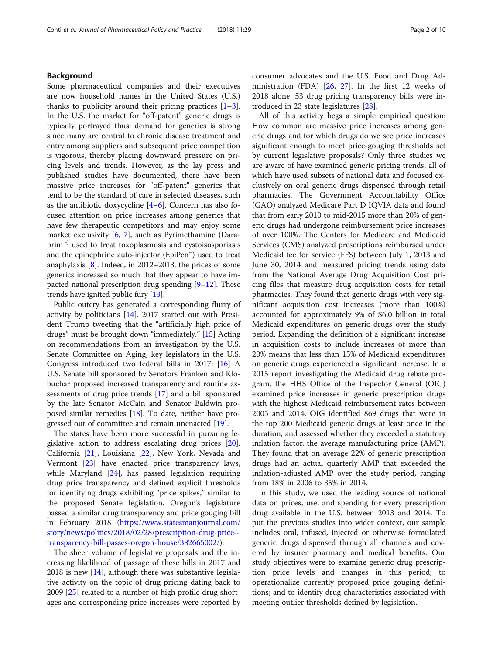#### Background

Some pharmaceutical companies and their executives are now household names in the United States (U.S.) thanks to publicity around their pricing practices  $[1-3]$  $[1-3]$  $[1-3]$  $[1-3]$ . In the U.S. the market for "off-patent" generic drugs is typically portrayed thus: demand for generics is strong since many are central to chronic disease treatment and entry among suppliers and subsequent price competition is vigorous, thereby placing downward pressure on pricing levels and trends. However, as the lay press and published studies have documented, there have been massive price increases for "off-patent" generics that tend to be the standard of care in selected diseases, such as the antibiotic doxycycline [\[4](#page-8-0)–[6\]](#page-8-0). Concern has also focused attention on price increases among generics that have few therapeutic competitors and may enjoy some market exclusivity [[6](#page-8-0), [7](#page-8-0)], such as Pyrimethamine (Daraprim<sup>™)</sup> used to treat toxoplasmosis and cystoisosporiasis and the epinephrine auto-injector (EpiPen™) used to treat anaphylaxis [\[8](#page-8-0)]. Indeed, in 2012–2013, the prices of some generics increased so much that they appear to have impacted national prescription drug spending [[9](#page-8-0)–[12](#page-8-0)]. These trends have ignited public fury [\[13\]](#page-8-0).

Public outcry has generated a corresponding flurry of activity by politicians [[14](#page-8-0)]. 2017 started out with President Trump tweeting that the "artificially high price of drugs" must be brought down "immediately." [[15](#page-8-0)] Acting on recommendations from an investigation by the U.S. Senate Committee on Aging, key legislators in the U.S. Congress introduced two federal bills in 2017: [[16](#page-8-0)] A U.S. Senate bill sponsored by Senators Franken and Klobuchar proposed increased transparency and routine assessments of drug price trends [\[17](#page-8-0)] and a bill sponsored by the late Senator McCain and Senator Baldwin proposed similar remedies [[18\]](#page-8-0). To date, neither have progressed out of committee and remain unenacted [\[19](#page-8-0)].

The states have been more successful in pursuing legislative action to address escalating drug prices [\[20](#page-8-0)]. California [[21](#page-8-0)], Louisiana [[22\]](#page-8-0), New York, Nevada and Vermont [[23\]](#page-8-0) have enacted price transparency laws, while Maryland [[24](#page-8-0)], has passed legislation requiring drug price transparency and defined explicit thresholds for identifying drugs exhibiting "price spikes," similar to the proposed Senate legislation. Oregon's legislature passed a similar drug transparency and price gouging bill in February 2018 ([https://www.statesmanjournal.com/](https://www.statesmanjournal.com/story/news/politics/2018/02/28/prescription-drug-price-transparency-bill-passes-oregon-house/382665002/) [story/news/politics/2018/02/28/prescription-drug-price-](https://www.statesmanjournal.com/story/news/politics/2018/02/28/prescription-drug-price-transparency-bill-passes-oregon-house/382665002/) [transparency-bill-passes-oregon-house/382665002/](https://www.statesmanjournal.com/story/news/politics/2018/02/28/prescription-drug-price-transparency-bill-passes-oregon-house/382665002/)).

The sheer volume of legislative proposals and the increasing likelihood of passage of these bills in 2017 and 2018 is new [[14](#page-8-0)], although there was substantive legislative activity on the topic of drug pricing dating back to 2009 [\[25](#page-8-0)] related to a number of high profile drug shortages and corresponding price increases were reported by consumer advocates and the U.S. Food and Drug Administration (FDA) [\[26,](#page-8-0) [27](#page-8-0)]. In the first 12 weeks of 2018 alone, 53 drug pricing transparency bills were introduced in 23 state legislatures [\[28\]](#page-8-0).

All of this activity begs a simple empirical question: How common are massive price increases among generic drugs and for which drugs do we see price increases significant enough to meet price-gouging thresholds set by current legislative proposals? Only three studies we are aware of have examined generic pricing trends, all of which have used subsets of national data and focused exclusively on oral generic drugs dispensed through retail pharmacies. The Government Accountability Office (GAO) analyzed Medicare Part D IQVIA data and found that from early 2010 to mid-2015 more than 20% of generic drugs had undergone reimbursement price increases of over 100%. The Centers for Medicare and Medicaid Services (CMS) analyzed prescriptions reimbursed under Medicaid fee for service (FFS) between July 1, 2013 and June 30, 2014 and measured pricing trends using data from the National Average Drug Acquisition Cost pricing files that measure drug acquisition costs for retail pharmacies. They found that generic drugs with very significant acquisition cost increases (more than 100%) accounted for approximately 9% of \$6.0 billion in total Medicaid expenditures on generic drugs over the study period. Expanding the definition of a significant increase in acquisition costs to include increases of more than 20% means that less than 15% of Medicaid expenditures on generic drugs experienced a significant increase. In a 2015 report investigating the Medicaid drug rebate program, the HHS Office of the Inspector General (OIG) examined price increases in generic prescription drugs with the highest Medicaid reimbursement rates between 2005 and 2014. OIG identified 869 drugs that were in the top 200 Medicaid generic drugs at least once in the duration, and assessed whether they exceeded a statutory inflation factor, the average manufacturing price (AMP). They found that on average 22% of generic prescription drugs had an actual quarterly AMP that exceeded the inflation-adjusted AMP over the study period, ranging from 18% in 2006 to 35% in 2014.

In this study, we used the leading source of national data on prices, use, and spending for every prescription drug available in the U.S. between 2013 and 2014. To put the previous studies into wider context, our sample includes oral, infused, injected or otherwise formulated generic drugs dispensed through all channels and covered by insurer pharmacy and medical benefits. Our study objectives were to examine generic drug prescription price levels and changes in this period; to operationalize currently proposed price gouging definitions; and to identify drug characteristics associated with meeting outlier thresholds defined by legislation.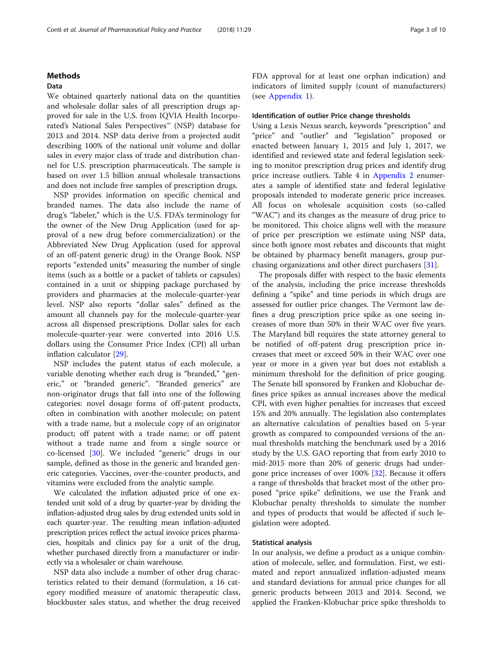#### Methods

#### Data

We obtained quarterly national data on the quantities and wholesale dollar sales of all prescription drugs approved for sale in the U.S. from IQVIA Health Incorporated's National Sales Perspectives™ (NSP) database for 2013 and 2014. NSP data derive from a projected audit describing 100% of the national unit volume and dollar sales in every major class of trade and distribution channel for U.S. prescription pharmaceuticals. The sample is based on over 1.5 billion annual wholesale transactions and does not include free samples of prescription drugs.

NSP provides information on specific chemical and branded names. The data also include the name of drug's "labeler," which is the U.S. FDA's terminology for the owner of the New Drug Application (used for approval of a new drug before commercialization) or the Abbreviated New Drug Application (used for approval of an off-patent generic drug) in the Orange Book. NSP reports "extended units" measuring the number of single items (such as a bottle or a packet of tablets or capsules) contained in a unit or shipping package purchased by providers and pharmacies at the molecule-quarter-year level. NSP also reports "dollar sales" defined as the amount all channels pay for the molecule-quarter-year across all dispensed prescriptions. Dollar sales for each molecule-quarter-year were converted into 2016 U.S. dollars using the Consumer Price Index (CPI) all urban inflation calculator [[29\]](#page-8-0).

NSP includes the patent status of each molecule, a variable denoting whether each drug is "branded," "generic," or "branded generic". "Branded generics" are non-originator drugs that fall into one of the following categories: novel dosage forms of off-patent products, often in combination with another molecule; on patent with a trade name, but a molecule copy of an originator product; off patent with a trade name; or off patent without a trade name and from a single source or co-licensed [\[30](#page-9-0)]. We included "generic" drugs in our sample, defined as those in the generic and branded generic categories. Vaccines, over-the-counter products, and vitamins were excluded from the analytic sample.

We calculated the inflation adjusted price of one extended unit sold of a drug by quarter-year by dividing the inflation-adjusted drug sales by drug extended units sold in each quarter-year. The resulting mean inflation-adjusted prescription prices reflect the actual invoice prices pharmacies, hospitals and clinics pay for a unit of the drug, whether purchased directly from a manufacturer or indirectly via a wholesaler or chain warehouse.

NSP data also include a number of other drug characteristics related to their demand (formulation, a 16 category modified measure of anatomic therapeutic class, blockbuster sales status, and whether the drug received FDA approval for at least one orphan indication) and indicators of limited supply (count of manufacturers) (see [Appendix 1](#page-6-0)).

#### Identification of outlier Price change thresholds

Using a Lexis Nexus search, keywords "prescription" and "price" and "outlier" and "legislation" proposed or enacted between January 1, 2015 and July 1, 2017, we identified and reviewed state and federal legislation seeking to monitor prescription drug prices and identify drug price increase outliers. Table 4 in Appendix 2 enumerates a sample of identified state and federal legislative proposals intended to moderate generic price increases. All focus on wholesale acquisition costs (so-called "WAC") and its changes as the measure of drug price to be monitored. This choice aligns well with the measure of price per prescription we estimate using NSP data, since both ignore most rebates and discounts that might be obtained by pharmacy benefit managers, group purchasing organizations and other direct purchasers [\[31](#page-9-0)].

The proposals differ with respect to the basic elements of the analysis, including the price increase thresholds defining a "spike" and time periods in which drugs are assessed for outlier price changes. The Vermont law defines a drug prescription price spike as one seeing increases of more than 50% in their WAC over five years. The Maryland bill requires the state attorney general to be notified of off-patent drug prescription price increases that meet or exceed 50% in their WAC over one year or more in a given year but does not establish a minimum threshold for the definition of price gouging. The Senate bill sponsored by Franken and Klobuchar defines price spikes as annual increases above the medical CPI, with even higher penalties for increases that exceed 15% and 20% annually. The legislation also contemplates an alternative calculation of penalties based on 5-year growth as compared to compounded versions of the annual thresholds matching the benchmark used by a 2016 study by the U.S. GAO reporting that from early 2010 to mid-2015 more than 20% of generic drugs had undergone price increases of over 100% [\[32](#page-9-0)]. Because it offers a range of thresholds that bracket most of the other proposed "price spike" definitions, we use the Frank and Klobuchar penalty thresholds to simulate the number and types of products that would be affected if such legislation were adopted.

#### Statistical analysis

In our analysis, we define a product as a unique combination of molecule, seller, and formulation. First, we estimated and report annualized inflation-adjusted means and standard deviations for annual price changes for all generic products between 2013 and 2014. Second, we applied the Franken-Klobuchar price spike thresholds to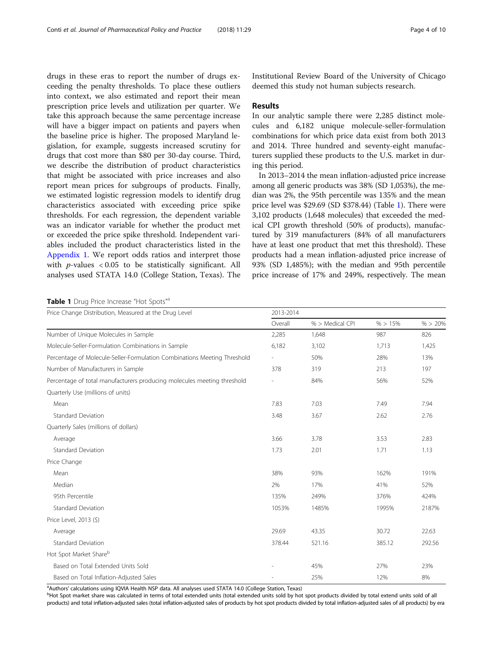drugs in these eras to report the number of drugs exceeding the penalty thresholds. To place these outliers into context, we also estimated and report their mean prescription price levels and utilization per quarter. We take this approach because the same percentage increase will have a bigger impact on patients and payers when the baseline price is higher. The proposed Maryland legislation, for example, suggests increased scrutiny for drugs that cost more than \$80 per 30-day course. Third, we describe the distribution of product characteristics that might be associated with price increases and also report mean prices for subgroups of products. Finally, we estimated logistic regression models to identify drug characteristics associated with exceeding price spike thresholds. For each regression, the dependent variable was an indicator variable for whether the product met or exceeded the price spike threshold. Independent variables included the product characteristics listed in the [Appendix 1.](#page-6-0) We report odds ratios and interpret those with  $p$ -values < 0.05 to be statistically significant. All analyses used STATA 14.0 (College Station, Texas). The

Table 1 Drug Price Increase "Hot Spots"<sup>a</sup>

Institutional Review Board of the University of Chicago deemed this study not human subjects research.

#### Results

In our analytic sample there were 2,285 distinct molecules and 6,182 unique molecule-seller-formulation combinations for which price data exist from both 2013 and 2014. Three hundred and seventy-eight manufacturers supplied these products to the U.S. market in during this period.

In 2013–2014 the mean inflation-adjusted price increase among all generic products was 38% (SD 1,053%), the median was 2%, the 95th percentile was 135% and the mean price level was \$29.69 (SD \$378.44) (Table 1). There were 3,102 products (1,648 molecules) that exceeded the medical CPI growth threshold (50% of products), manufactured by 319 manufacturers (84% of all manufacturers have at least one product that met this threshold). These products had a mean inflation-adjusted price increase of 93% (SD 1,485%); with the median and 95th percentile price increase of 17% and 249%, respectively. The mean

| Price Change Distribution, Measured at the Drug Level                    | 2013-2014                |                 |         |         |
|--------------------------------------------------------------------------|--------------------------|-----------------|---------|---------|
|                                                                          | Overall                  | % > Medical CPI | % > 15% | % > 20% |
| Number of Unique Molecules in Sample                                     | 2,285                    | 1,648           | 987     | 826     |
| Molecule-Seller-Formulation Combinations in Sample                       | 6,182                    | 3,102           | 1,713   | 1,425   |
| Percentage of Molecule-Seller-Formulation Combinations Meeting Threshold | $\overline{\phantom{a}}$ | 50%             | 28%     | 13%     |
| Number of Manufacturers in Sample                                        | 378                      | 319             | 213     | 197     |
| Percentage of total manufacturers producing molecules meeting threshold  |                          | 84%             | 56%     | 52%     |
| Quarterly Use (millions of units)                                        |                          |                 |         |         |
| Mean                                                                     | 7.83                     | 7.03            | 7.49    | 7.94    |
| Standard Deviation                                                       | 3.48                     | 3.67            | 2.62    | 2.76    |
| Quarterly Sales (millions of dollars)                                    |                          |                 |         |         |
| Average                                                                  | 3.66                     | 3.78            | 3.53    | 2.83    |
| <b>Standard Deviation</b>                                                | 1.73                     | 2.01            | 1.71    | 1.13    |
| Price Change                                                             |                          |                 |         |         |
| Mean                                                                     | 38%                      | 93%             | 162%    | 191%    |
| Median                                                                   | 2%                       | 17%             | 41%     | 52%     |
| 95th Percentile                                                          | 135%                     | 249%            | 376%    | 424%    |
| <b>Standard Deviation</b>                                                | 1053%                    | 1485%           | 1995%   | 2187%   |
| Price Level, 2013 (\$)                                                   |                          |                 |         |         |
| Average                                                                  | 29.69                    | 43.35           | 30.72   | 22.63   |
| <b>Standard Deviation</b>                                                | 378.44                   | 521.16          | 385.12  | 292.56  |
| Hot Spot Market Shareb                                                   |                          |                 |         |         |
| Based on Total Extended Units Sold                                       |                          | 45%             | 27%     | 23%     |
| Based on Total Inflation-Adjusted Sales                                  |                          | 25%             | 12%     | 8%      |

<sup>a</sup> Authors' calculations using IQVIA Health NSP data. All analyses used STATA 14.0 (College Station, Texas)<br><sup>b</sup> Hot Spot market share was salsulated in terms of total extended units (total extended units sold by he

<sup>b</sup>Hot Spot market share was calculated in terms of total extended units (total extended units sold by hot spot products divided by total extend units sold of all products) and total inflation-adjusted sales (total inflation-adjusted sales of products by hot spot products divided by total inflation-adjusted sales of all products) by era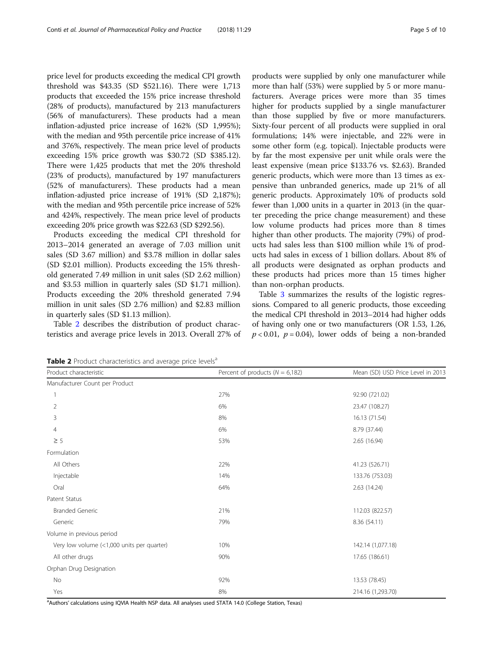price level for products exceeding the medical CPI growth threshold was \$43.35 (SD \$521.16). There were 1,713 products that exceeded the 15% price increase threshold (28% of products), manufactured by 213 manufacturers (56% of manufacturers). These products had a mean inflation-adjusted price increase of 162% (SD 1,995%); with the median and 95th percentile price increase of 41% and 376%, respectively. The mean price level of products exceeding 15% price growth was \$30.72 (SD \$385.12). There were 1,425 products that met the 20% threshold (23% of products), manufactured by 197 manufacturers (52% of manufacturers). These products had a mean inflation-adjusted price increase of 191% (SD 2,187%); with the median and 95th percentile price increase of 52% and 424%, respectively. The mean price level of products exceeding 20% price growth was \$22.63 (SD \$292.56).

Products exceeding the medical CPI threshold for 2013–2014 generated an average of 7.03 million unit sales (SD 3.67 million) and \$3.78 million in dollar sales (SD \$2.01 million). Products exceeding the 15% threshold generated 7.49 million in unit sales (SD 2.62 million) and \$3.53 million in quarterly sales (SD \$1.71 million). Products exceeding the 20% threshold generated 7.94 million in unit sales (SD 2.76 million) and \$2.83 million in quarterly sales (SD \$1.13 million).

Table 2 describes the distribution of product characteristics and average price levels in 2013. Overall 27% of products were supplied by only one manufacturer while more than half (53%) were supplied by 5 or more manufacturers. Average prices were more than 35 times higher for products supplied by a single manufacturer than those supplied by five or more manufacturers. Sixty-four percent of all products were supplied in oral formulations; 14% were injectable, and 22% were in some other form (e.g. topical). Injectable products were by far the most expensive per unit while orals were the least expensive (mean price \$133.76 vs. \$2.63). Branded generic products, which were more than 13 times as expensive than unbranded generics, made up 21% of all generic products. Approximately 10% of products sold fewer than 1,000 units in a quarter in 2013 (in the quarter preceding the price change measurement) and these low volume products had prices more than 8 times higher than other products. The majority (79%) of products had sales less than \$100 million while 1% of products had sales in excess of 1 billion dollars. About 8% of all products were designated as orphan products and these products had prices more than 15 times higher than non-orphan products.

Table [3](#page-5-0) summarizes the results of the logistic regressions. Compared to all generic products, those exceeding the medical CPI threshold in 2013–2014 had higher odds of having only one or two manufacturers (OR 1.53, 1.26,  $p < 0.01$ ,  $p = 0.04$ ), lower odds of being a non-branded

Table 2 Product characteristics and average price levels<sup>a</sup>

| Product characteristic                     | Percent of products ( $N = 6,182$ ) | Mean (SD) USD Price Level in 2013 |
|--------------------------------------------|-------------------------------------|-----------------------------------|
| Manufacturer Count per Product             |                                     |                                   |
|                                            | 27%                                 | 92.90 (721.02)                    |
| $\overline{2}$                             | 6%                                  | 23.47 (108.27)                    |
| 3                                          | 8%                                  | 16.13 (71.54)                     |
| $\overline{4}$                             | 6%                                  | 8.79 (37.44)                      |
| $\geq$ 5                                   | 53%                                 | 2.65 (16.94)                      |
| Formulation                                |                                     |                                   |
| All Others                                 | 22%                                 | 41.23 (526.71)                    |
| Injectable                                 | 14%                                 | 133.76 (753.03)                   |
| Oral                                       | 64%                                 | 2.63 (14.24)                      |
| Patent Status                              |                                     |                                   |
| <b>Branded Generic</b>                     | 21%                                 | 112.03 (822.57)                   |
| Generic                                    | 79%                                 | 8.36 (54.11)                      |
| Volume in previous period                  |                                     |                                   |
| Very low volume (<1,000 units per quarter) | 10%                                 | 142.14 (1,077.18)                 |
| All other drugs                            | 90%                                 | 17.65 (186.61)                    |
| Orphan Drug Designation                    |                                     |                                   |
| No                                         | 92%                                 | 13.53 (78.45)                     |
| Yes                                        | 8%                                  | 214.16 (1,293.70)                 |

<sup>a</sup>Authors' calculations using IQVIA Health NSP data. All analyses used STATA 14.0 (College Station, Texas)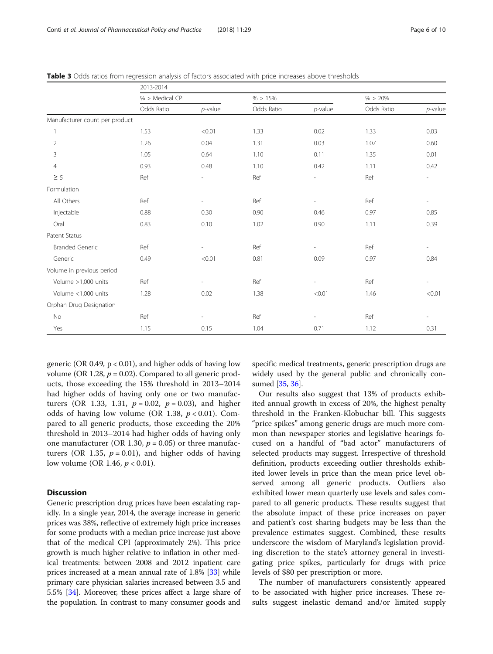|                                | 2013-2014       |                          |            |                          |            |            |  |
|--------------------------------|-----------------|--------------------------|------------|--------------------------|------------|------------|--|
|                                | % > Medical CPI |                          |            | % > 15%                  |            | % > 20%    |  |
|                                | Odds Ratio      | $p$ -value               | Odds Ratio | $p$ -value               | Odds Ratio | $p$ -value |  |
| Manufacturer count per product |                 |                          |            |                          |            |            |  |
| 1                              | 1.53            | < 0.01                   | 1.33       | 0.02                     | 1.33       | 0.03       |  |
| $\overline{2}$                 | 1.26            | 0.04                     | 1.31       | 0.03                     | 1.07       | 0.60       |  |
| 3                              | 1.05            | 0.64                     | 1.10       | 0.11                     | 1.35       | 0.01       |  |
| $\overline{4}$                 | 0.93            | 0.48                     | 1.10       | 0.42                     | 1.11       | 0.42       |  |
| $\geq$ 5                       | Ref             | $\overline{\phantom{a}}$ | Ref        | $\overline{\phantom{a}}$ | Ref        |            |  |
| Formulation                    |                 |                          |            |                          |            |            |  |
| All Others                     | Ref             | $\overline{\phantom{a}}$ | Ref        | $\overline{\phantom{a}}$ | Ref        |            |  |
| Injectable                     | 0.88            | 0.30                     | 0.90       | 0.46                     | 0.97       | 0.85       |  |
| Oral                           | 0.83            | 0.10                     | 1.02       | 0.90                     | 1.11       | 0.39       |  |
| Patent Status                  |                 |                          |            |                          |            |            |  |
| <b>Branded Generic</b>         | Ref             | $\overline{\phantom{a}}$ | Ref        | $\overline{\phantom{a}}$ | Ref        |            |  |
| Generic                        | 0.49            | < 0.01                   | 0.81       | 0.09                     | 0.97       | 0.84       |  |
| Volume in previous period      |                 |                          |            |                          |            |            |  |
| Volume >1,000 units            | Ref             |                          | Ref        |                          | Ref        |            |  |
| Volume <1,000 units            | 1.28            | 0.02                     | 1.38       | < 0.01                   | 1.46       | < 0.01     |  |
| Orphan Drug Designation        |                 |                          |            |                          |            |            |  |
| No                             | Ref             |                          | Ref        |                          | Ref        |            |  |
| Yes                            | 1.15            | 0.15                     | 1.04       | 0.71                     | 1.12       | 0.31       |  |

<span id="page-5-0"></span>Table 3 Odds ratios from regression analysis of factors associated with price increases above thresholds

generic (OR 0.49,  $p < 0.01$ ), and higher odds of having low volume (OR 1.28,  $p = 0.02$ ). Compared to all generic products, those exceeding the 15% threshold in 2013–2014 had higher odds of having only one or two manufacturers (OR 1.33, 1.31,  $p = 0.02$ ,  $p = 0.03$ ), and higher odds of having low volume (OR 1.38,  $p < 0.01$ ). Compared to all generic products, those exceeding the 20% threshold in 2013–2014 had higher odds of having only one manufacturer (OR 1.30,  $p = 0.05$ ) or three manufacturers (OR 1.35,  $p = 0.01$ ), and higher odds of having low volume (OR 1.46,  $p < 0.01$ ).

#### **Discussion**

Generic prescription drug prices have been escalating rapidly. In a single year, 2014, the average increase in generic prices was 38%, reflective of extremely high price increases for some products with a median price increase just above that of the medical CPI (approximately 2%). This price growth is much higher relative to inflation in other medical treatments: between 2008 and 2012 inpatient care prices increased at a mean annual rate of 1.8% [\[33\]](#page-9-0) while primary care physician salaries increased between 3.5 and 5.5% [\[34](#page-9-0)]. Moreover, these prices affect a large share of the population. In contrast to many consumer goods and specific medical treatments, generic prescription drugs are widely used by the general public and chronically consumed [[35,](#page-9-0) [36\]](#page-9-0).

Our results also suggest that 13% of products exhibited annual growth in excess of 20%, the highest penalty threshold in the Franken-Klobuchar bill. This suggests "price spikes" among generic drugs are much more common than newspaper stories and legislative hearings focused on a handful of "bad actor" manufacturers of selected products may suggest. Irrespective of threshold definition, products exceeding outlier thresholds exhibited lower levels in price than the mean price level observed among all generic products. Outliers also exhibited lower mean quarterly use levels and sales compared to all generic products. These results suggest that the absolute impact of these price increases on payer and patient's cost sharing budgets may be less than the prevalence estimates suggest. Combined, these results underscore the wisdom of Maryland's legislation providing discretion to the state's attorney general in investigating price spikes, particularly for drugs with price levels of \$80 per prescription or more.

The number of manufacturers consistently appeared to be associated with higher price increases. These results suggest inelastic demand and/or limited supply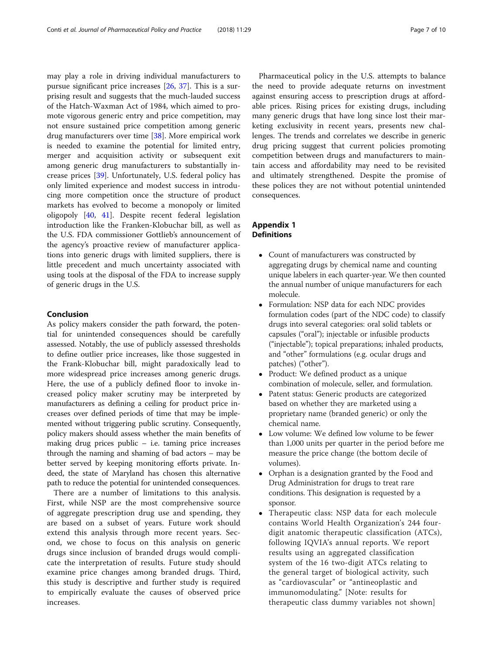<span id="page-6-0"></span>may play a role in driving individual manufacturers to pursue significant price increases [[26,](#page-8-0) [37\]](#page-9-0). This is a surprising result and suggests that the much-lauded success of the Hatch-Waxman Act of 1984, which aimed to promote vigorous generic entry and price competition, may not ensure sustained price competition among generic drug manufacturers over time [[38\]](#page-9-0). More empirical work is needed to examine the potential for limited entry, merger and acquisition activity or subsequent exit among generic drug manufacturers to substantially increase prices [\[39](#page-9-0)]. Unfortunately, U.S. federal policy has only limited experience and modest success in introducing more competition once the structure of product markets has evolved to become a monopoly or limited oligopoly [\[40,](#page-9-0) [41\]](#page-9-0). Despite recent federal legislation introduction like the Franken-Klobuchar bill, as well as the U.S. FDA commissioner Gottlieb's announcement of the agency's proactive review of manufacturer applications into generic drugs with limited suppliers, there is little precedent and much uncertainty associated with using tools at the disposal of the FDA to increase supply of generic drugs in the U.S.

#### Conclusion

As policy makers consider the path forward, the potential for unintended consequences should be carefully assessed. Notably, the use of publicly assessed thresholds to define outlier price increases, like those suggested in the Frank-Klobuchar bill, might paradoxically lead to more widespread price increases among generic drugs. Here, the use of a publicly defined floor to invoke increased policy maker scrutiny may be interpreted by manufacturers as defining a ceiling for product price increases over defined periods of time that may be implemented without triggering public scrutiny. Consequently, policy makers should assess whether the main benefits of making drug prices public – i.e. taming price increases through the naming and shaming of bad actors – may be better served by keeping monitoring efforts private. Indeed, the state of Maryland has chosen this alternative path to reduce the potential for unintended consequences.

There are a number of limitations to this analysis. First, while NSP are the most comprehensive source of aggregate prescription drug use and spending, they are based on a subset of years. Future work should extend this analysis through more recent years. Second, we chose to focus on this analysis on generic drugs since inclusion of branded drugs would complicate the interpretation of results. Future study should examine price changes among branded drugs. Third, this study is descriptive and further study is required to empirically evaluate the causes of observed price increases.

Pharmaceutical policy in the U.S. attempts to balance the need to provide adequate returns on investment against ensuring access to prescription drugs at affordable prices. Rising prices for existing drugs, including many generic drugs that have long since lost their marketing exclusivity in recent years, presents new challenges. The trends and correlates we describe in generic drug pricing suggest that current policies promoting competition between drugs and manufacturers to maintain access and affordability may need to be revisited and ultimately strengthened. Despite the promise of these polices they are not without potential unintended consequences.

#### Appendix 1 **Definitions**

- Count of manufacturers was constructed by aggregating drugs by chemical name and counting unique labelers in each quarter-year. We then counted the annual number of unique manufacturers for each molecule.
- Formulation: NSP data for each NDC provides formulation codes (part of the NDC code) to classify drugs into several categories: oral solid tablets or capsules ("oral"); injectable or infusible products ("injectable"); topical preparations; inhaled products, and "other" formulations (e.g. ocular drugs and patches) ("other").
- Product: We defined product as a unique combination of molecule, seller, and formulation.
- Patent status: Generic products are categorized based on whether they are marketed using a proprietary name (branded generic) or only the chemical name.
- Low volume: We defined low volume to be fewer than 1,000 units per quarter in the period before me measure the price change (the bottom decile of volumes).
- Orphan is a designation granted by the Food and Drug Administration for drugs to treat rare conditions. This designation is requested by a sponsor.
- Therapeutic class: NSP data for each molecule contains World Health Organization's 244 fourdigit anatomic therapeutic classification (ATCs), following IQVIA's annual reports. We report results using an aggregated classification system of the 16 two-digit ATCs relating to the general target of biological activity, such as "cardiovascular" or "antineoplastic and immunomodulating." [Note: results for therapeutic class dummy variables not shown]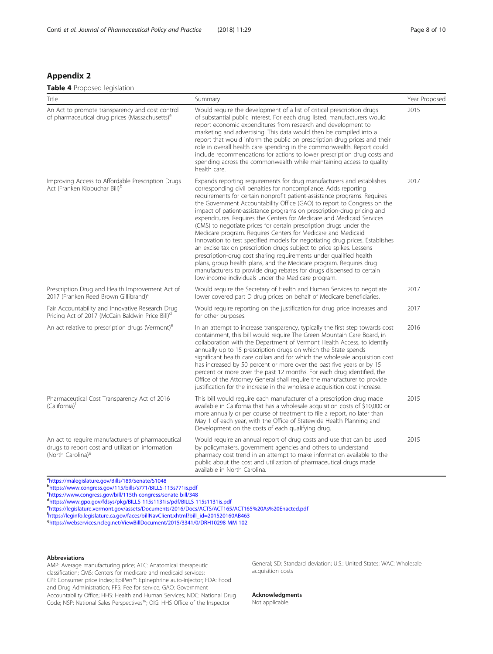#### Appendix 2

|  | Table 4 Proposed legislation |  |
|--|------------------------------|--|
|  |                              |  |

| Title                                                                                                                                  | Summary                                                                                                                                                                                                                                                                                                                                                                                                                                                                                                                                                                                                                                                                                                                                                                                                                                                                                                                                                                                                                    | Year Proposed |
|----------------------------------------------------------------------------------------------------------------------------------------|----------------------------------------------------------------------------------------------------------------------------------------------------------------------------------------------------------------------------------------------------------------------------------------------------------------------------------------------------------------------------------------------------------------------------------------------------------------------------------------------------------------------------------------------------------------------------------------------------------------------------------------------------------------------------------------------------------------------------------------------------------------------------------------------------------------------------------------------------------------------------------------------------------------------------------------------------------------------------------------------------------------------------|---------------|
| An Act to promote transparency and cost control<br>of pharmaceutical drug prices (Massachusetts) <sup>a</sup>                          | Would require the development of a list of critical prescription drugs<br>of substantial public interest. For each drug listed, manufacturers would<br>report economic expenditures from research and development to<br>marketing and advertising. This data would then be compiled into a<br>report that would inform the public on prescription drug prices and their<br>role in overall health care spending in the commonwealth. Report could<br>include recommendations for actions to lower prescription drug costs and<br>spending across the commonwealth while maintaining access to quality<br>health care.                                                                                                                                                                                                                                                                                                                                                                                                      | 2015          |
| Improving Access to Affordable Prescription Drugs<br>Act (Franken Klobuchar Bill) <sup>b</sup>                                         | Expands reporting requirements for drug manufacturers and establishes<br>corresponding civil penalties for noncompliance. Adds reporting<br>requirements for certain nonprofit patient-assistance programs. Requires<br>the Government Accountability Office (GAO) to report to Congress on the<br>impact of patient-assistance programs on prescription-drug pricing and<br>expenditures. Requires the Centers for Medicare and Medicaid Services<br>(CMS) to negotiate prices for certain prescription drugs under the<br>Medicare program. Requires Centers for Medicare and Medicaid<br>Innovation to test specified models for negotiating drug prices. Establishes<br>an excise tax on prescription drugs subject to price spikes. Lessens<br>prescription-drug cost sharing requirements under qualified health<br>plans, group health plans, and the Medicare program. Requires drug<br>manufacturers to provide drug rebates for drugs dispensed to certain<br>low-income individuals under the Medicare program. | 2017          |
| Prescription Drug and Health Improvement Act of<br>2017 (Franken Reed Brown Gillibrand) <sup>c</sup>                                   | Would require the Secretary of Health and Human Services to negotiate<br>lower covered part D drug prices on behalf of Medicare beneficiaries.                                                                                                                                                                                                                                                                                                                                                                                                                                                                                                                                                                                                                                                                                                                                                                                                                                                                             | 2017          |
| Fair Accountability and Innovative Research Drug<br>Pricing Act of 2017 (McCain Baldwin Price Bill) <sup>d</sup>                       | Would require reporting on the justification for drug price increases and<br>for other purposes.                                                                                                                                                                                                                                                                                                                                                                                                                                                                                                                                                                                                                                                                                                                                                                                                                                                                                                                           | 2017          |
| An act relative to prescription drugs (Vermont) <sup>e</sup>                                                                           | In an attempt to increase transparency, typically the first step towards cost<br>containment, this bill would require The Green Mountain Care Board, in<br>collaboration with the Department of Vermont Health Access, to identify<br>annually up to 15 prescription drugs on which the State spends<br>significant health care dollars and for which the wholesale acquisition cost<br>has increased by 50 percent or more over the past five years or by 15<br>percent or more over the past 12 months. For each drug identified, the<br>Office of the Attorney General shall require the manufacturer to provide<br>justification for the increase in the wholesale acquisition cost increase.                                                                                                                                                                                                                                                                                                                          | 2016          |
| Pharmaceutical Cost Transparency Act of 2016<br>(California) <sup>†</sup>                                                              | This bill would require each manufacturer of a prescription drug made<br>available in California that has a wholesale acquisition costs of \$10,000 or<br>more annually or per course of treatment to file a report, no later than<br>May 1 of each year, with the Office of Statewide Health Planning and<br>Development on the costs of each qualifying drug.                                                                                                                                                                                                                                                                                                                                                                                                                                                                                                                                                                                                                                                            | 2015          |
| An act to require manufacturers of pharmaceutical<br>drugs to report cost and utilization information<br>(North Carolina) <sup>9</sup> | Would require an annual report of drug costs and use that can be used<br>by policymakers, government agencies and others to understand<br>pharmacy cost trend in an attempt to make information available to the<br>public about the cost and utilization of pharmaceutical drugs made<br>available in North Carolina.                                                                                                                                                                                                                                                                                                                                                                                                                                                                                                                                                                                                                                                                                                     | 2015          |

a<br>[https://malegislature.gov/Bills/189/Senate/S1048](https://malegislature.gov/Bills/189/Senate/S1048%20)<br><sup>b</sup><https://www.congress.gov/115/bills/s771/BILLS-115s771is.pdf>

c <https://www.congress.gov/bill/115th-congress/senate-bill/348>

d <https://www.gpo.gov/fdsys/pkg/BILLS-115s1131is/pdf/BILLS-115s1131is.pdf>

e <https://legislature.vermont.gov/assets/Documents/2016/Docs/ACTS/ACT165/ACT165%20As%20Enacted.pdf>

f [https://leginfo.legislature.ca.gov/faces/billNavClient.xhtml?bill\\_id=201520160AB463](https://leginfo.legislature.ca.gov/faces/billNavClient.xhtml?bill_id=201520160AB463)

g <https://webservices.ncleg.net/ViewBillDocument/2015/3341/0/DRH10298-MM-102>

#### Abbreviations

AMP: Average manufacturing price; ATC: Anatomical therapeutic classification; CMS: Centers for medicare and medicaid services; CPI: Consumer price index; EpiPen™: Epinephrine auto-injector; FDA: Food and Drug Administration; FFS: Fee for service; GAO: Government Accountability Office; HHS: Health and Human Services; NDC: National Drug Code; NSP: National Sales Perspectives™; OIG: HHS Office of the Inspector

General; SD: Standard deviation; U.S.: United States; WAC: Wholesale acquisition costs

#### Acknowledgments

Not applicable.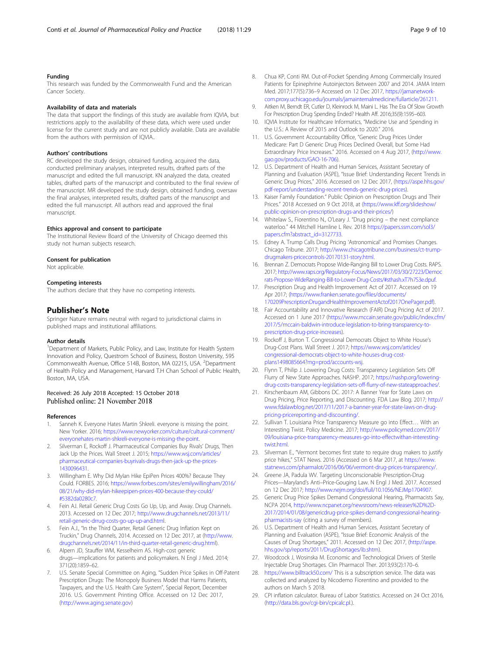#### <span id="page-8-0"></span>Funding

This research was funded by the Commonwealth Fund and the American Cancer Society.

#### Availability of data and materials

The data that support the findings of this study are available from IQVIA, but restrictions apply to the availability of these data, which were used under license for the current study and are not publicly available. Data are available from the authors with permission of IQVIA..

#### Authors' contributions

RC developed the study design, obtained funding, acquired the data, conducted preliminary analyses, interpreted results, drafted parts of the manuscript and edited the full manuscript. KN analyzed the data, created tables, drafted parts of the manuscript and contributed to the final review of the manuscript. MR developed the study design, obtained funding, oversaw the final analyses, interpreted results, drafted parts of the manuscript and edited the full manuscript. All authors read and approved the final manuscript.

#### Ethics approval and consent to participate

The Institutional Review Board of the University of Chicago deemed this study not human subjects research.

#### Consent for publication

Not applicable.

#### Competing interests

The authors declare that they have no competing interests.

#### Publisher's Note

Springer Nature remains neutral with regard to jurisdictional claims in published maps and institutional affiliations.

#### Author details

<sup>1</sup>Department of Markets, Public Policy, and Law, Institute for Health System Innovation and Policy, Questrom School of Business, Boston University, 595 Commonwealth Avenue, Office 514B, Boston, MA 02215, USA. <sup>2</sup>Department of Health Policy and Management, Harvard T.H Chan School of Public Health, Boston, MA, USA.

# Received: 26 July 2018 Accepted: 15 October 2018<br>Published online: 21 November 2018

#### References

- 1. Sanneh K. Everyone Hates Martin Shkreli. everyone is missing the point. New Yorker. 2016; [https://www.newyorker.com/culture/cultural-comment/](https://www.newyorker.com/culture/cultural-comment/everyonehates-martin-shkreli-everyone-is-missing-the-point) [everyonehates-martin-shkreli-everyone-is-missing-the-point](https://www.newyorker.com/culture/cultural-comment/everyonehates-martin-shkreli-everyone-is-missing-the-point).
- 2. Silverman E, Rockoff J. Pharmaceutical Companies Buy Rivals' Drugs, Then Jack Up the Prices. Wall Street J. 2015; [https://www.wsj.com/articles/](https://www.wsj.com/articles/pharmaceutical-companies-buyrivals-drugs-then-jack-up-the-prices-1430096431) [pharmaceutical-companies-buyrivals-drugs-then-jack-up-the-prices-](https://www.wsj.com/articles/pharmaceutical-companies-buyrivals-drugs-then-jack-up-the-prices-1430096431)[1430096431.](https://www.wsj.com/articles/pharmaceutical-companies-buyrivals-drugs-then-jack-up-the-prices-1430096431)
- 3. Willingham E. Why Did Mylan Hike EpiPen Prices 400%? Because They Could. FORBES. 2016; [https://www.forbes.com/sites/emilywillingham/2016/](https://www.forbes.com/sites/emilywillingham/2016/08/21/why-did-mylan-hikeepipen-prices-400-because-they-could/#5382da0280c7) [08/21/why-did-mylan-hikeepipen-prices-400-because-they-could/](https://www.forbes.com/sites/emilywillingham/2016/08/21/why-did-mylan-hikeepipen-prices-400-because-they-could/#5382da0280c7) [#5382da0280c7.](https://www.forbes.com/sites/emilywillingham/2016/08/21/why-did-mylan-hikeepipen-prices-400-because-they-could/#5382da0280c7)
- Fein AJ. Retail Generic Drug Costs Go Up, Up, and Away. Drug Channels. 2013. Accessed on 12 Dec 2017; [http://www.drugchannels.net/2013/11/](http://www.drugchannels.net/2013/11/retail-generic-drrug-costs-go-up-up-and.html) [retail-generic-drrug-costs-go-up-up-and.html.](http://www.drugchannels.net/2013/11/retail-generic-drrug-costs-go-up-up-and.html)
- 5. Fein A.J., "In the Third Quarter, Retail Generic Drug Inflation Kept on Truckin," Drug Channels, 2014. Accessed on 12 Dec 2017, at ([http://www.](http://www.drugchannels.net/2014/11/in-third-quarter-retail-generic-drug.html) [drugchannels.net/2014/11/in-third-quarter-retail-generic-drug.html](http://www.drugchannels.net/2014/11/in-third-quarter-retail-generic-drug.html)).
- 6. Alpern JD, Stauffer WM, Kesselheim AS. High-cost generic drugs—implications for patients and policymakers. N Engl J Med. 2014; 371(20):1859–62.
- U.S. Senate Special Committee on Aging, "Sudden Price Spikes in Off-Patent Prescription Drugs: The Monopoly Business Model that Harms Patients, Taxpayers, and the U.S. Health Care System", Special Report, December 2016. U.S. Government Printing Office. Accessed on 12 Dec 2017, ([http://www.aging.senate.gov\)](http://www.aging.senate.gov)
- 8. Chua KP, Conti RM. Out-of-Pocket Spending Among Commercially Insured Patients for Epinephrine Autoinjectors Between 2007 and 2014. JAMA Intern Med. 2017;177(5):736–9 Accessed on 12 Dec 2017, [https://jamanetwork](https://jamanetwork-com.proxy.uchicago.edu/journals/jamainternalmedicine/fullarticle/261211)[com.proxy.uchicago.edu/journals/jamainternalmedicine/fullarticle/261211](https://jamanetwork-com.proxy.uchicago.edu/journals/jamainternalmedicine/fullarticle/261211).
- 9. Aitken M, Berndt ER, Cutler D, Kleinrock M, Maini L. Has The Era Of Slow Growth For Prescription Drug Spending Ended? Health Aff. 2016;35(9):1595–603.
- 10. IQVIA Institute for Healthcare Informatics, "Medicine Use and Spending in the U.S.: A Review of 2015 and Outlook to 2020." 2016.
- 11. U.S. Government Accountability Office, "Generic Drug Prices Under Medicare: Part D Generic Drug Prices Declined Overall, but Some Had Extraordinary Price Increases." 2016. Accessed on 4 Aug 2017, [\(http://www.](http://www.gao.gov/products/GAO-16-706) [gao.gov/products/GAO-16-706](http://www.gao.gov/products/GAO-16-706)).
- 12. U.S. Department of Health and Human Services, Assistant Secretary of Planning and Evaluation (ASPE), "Issue Brief: Understanding Recent Trends in Generic Drug Prices," 2016. Accessed on 12 Dec 2017, ([https://aspe.hhs.gov/](https://aspe.hhs.gov/pdf-report/understanding-recent-trends-generic-drug-prices) [pdf-report/understanding-recent-trends-generic-drug-prices](https://aspe.hhs.gov/pdf-report/understanding-recent-trends-generic-drug-prices)).
- 13. Kaiser Family Foundation." Public Opinion on Prescription Drugs and Their Prices." 2018 Accessed on 9 Oct 2018, at [\(https://www.kff.org/slideshow/](https://www.kff.org/slideshow/public-opinion-on-prescription-drugs-and-their-prices/) [public-opinion-on-prescription-drugs-and-their-prices/\)](https://www.kff.org/slideshow/public-opinion-on-prescription-drugs-and-their-prices/)
- 14. Whitelaw S., Fiorentino N., O'Leary J. "Drug pricing the next compliance waterloo." 44 Mitchell Hamline L Rev. 2018 [https://papers.ssrn.com/sol3/](https://papers.ssrn.com/sol3/papers.cfm?abstract_id=3127733) [papers.cfm?abstract\\_id=3127733.](https://papers.ssrn.com/sol3/papers.cfm?abstract_id=3127733)
- 15. Edney A. Trump Calls Drug Pricing 'Astronomical' and Promises Changes. Chicago Tribune. 2017; [http://www.chicagotribune.com/business/ct-trump](http://www.chicagotribune.com/business/ct-trump-drugmakers-pricecontrols-20170131-story.html)[drugmakers-pricecontrols-20170131-story.html.](http://www.chicagotribune.com/business/ct-trump-drugmakers-pricecontrols-20170131-story.html)
- 16. Brennan Z. Democrats Propose Wide-Ranging Bill to Lower Drug Costs. RAPS. 2017; [http://www.raps.org/Regulatory-Focus/News/2017/03/30/27223/Democ](http://www.raps.org/Regulatory-Focus/News/2017/03/30/27223/Democrats-Propose-WideRanging-Bill-to-Lower-Drug-Costs/#sthash.xT7h7S3e.dpuf) [rats-Propose-WideRanging-Bill-to-Lower-Drug-Costs/#sthash.xT7h7S3e.dpuf](http://www.raps.org/Regulatory-Focus/News/2017/03/30/27223/Democrats-Propose-WideRanging-Bill-to-Lower-Drug-Costs/#sthash.xT7h7S3e.dpuf).
- 17. Prescription Drug and Health Improvement Act of 2017. Accessed on 19 Apr 2017; ([https://www.franken.senate.gov/files/documents/](https://www.franken.senate.gov/files/documents/170209PrescriptionDrugandHealthImprovementActof2017OnePager.pdf) [170209PrescriptionDrugandHealthImprovementActof2017OnePager.pdf](https://www.franken.senate.gov/files/documents/170209PrescriptionDrugandHealthImprovementActof2017OnePager.pdf)).
- 18. Fair Accountability and Innovative Research (FAIR) Drug Pricing Act of 2017. Accessed on 1 June 2017 ([https://www.mccain.senate.gov/public/index.cfm/](https://www.mccain.senate.gov/public/index.cfm/2017/5/mccain-baldwin-introduce-legislation-to-bring-transparency-to-prescription-drug-price-increases) [2017/5/mccain-baldwin-introduce-legislation-to-bring-transparency-to](https://www.mccain.senate.gov/public/index.cfm/2017/5/mccain-baldwin-introduce-legislation-to-bring-transparency-to-prescription-drug-price-increases)[prescription-drug-price-increases\)](https://www.mccain.senate.gov/public/index.cfm/2017/5/mccain-baldwin-introduce-legislation-to-bring-transparency-to-prescription-drug-price-increases).
- 19. Rockoff J, Burton T. Congressional Democrats Object to White House's Drug-Cost Plans. Wall Street J. 2017; [https://www.wsj.com/articles/](https://www.wsj.com/articles/congressional-democrats-object-to-white-houses-drug-cost-plans1498085664?mg=prod/accounts-wsj) [congressional-democrats-object-to-white-houses-drug-cost](https://www.wsj.com/articles/congressional-democrats-object-to-white-houses-drug-cost-plans1498085664?mg=prod/accounts-wsj)[plans1498085664?mg=prod/accounts-wsj](https://www.wsj.com/articles/congressional-democrats-object-to-white-houses-drug-cost-plans1498085664?mg=prod/accounts-wsj).
- 20. Flynn T, Philip J. Lowering Drug Costs: Transparency Legislation Sets Off Flurry of New State Approaches. NASHP. 2017; [https://nashp.org/lowering](https://nashp.org/lowering-drug-costs-transparency-legislation-sets-off-flurry-of-new-stateapproaches/)[drug-costs-transparency-legislation-sets-off-flurry-of-new-stateapproaches/.](https://nashp.org/lowering-drug-costs-transparency-legislation-sets-off-flurry-of-new-stateapproaches/)
- Kirschenbaum AM, Gibbons DC. 2017: A Banner Year for State Laws on Drug Pricing, Price Reporting, and Discounting. FDA Law Blog. 2017; [http://](http://www.fdalawblog.net/2017/11/2017-a-banner-year-for-state-laws-on-drug-pricing-pricereporting-and-discounting/) [www.fdalawblog.net/2017/11/2017-a-banner-year-for-state-laws-on-drug](http://www.fdalawblog.net/2017/11/2017-a-banner-year-for-state-laws-on-drug-pricing-pricereporting-and-discounting/)[pricing-pricereporting-and-discounting/.](http://www.fdalawblog.net/2017/11/2017-a-banner-year-for-state-laws-on-drug-pricing-pricereporting-and-discounting/)
- 22. Sullivan T. Louisiana Price Transparency Measure go into Effect… With an Interesting Twist. Policy Medicine. 2017; [http://www.policymed.com/2017/](http://www.policymed.com/2017/09/louisiana-price-transparency-measures-go-into-effectwithan-interesting-twist.html) [09/louisiana-price-transparency-measures-go-into-effectwithan-interesting](http://www.policymed.com/2017/09/louisiana-price-transparency-measures-go-into-effectwithan-interesting-twist.html)twist.html
- 23. Silverman E., "Vermont becomes first state to require drug makers to justify price hikes," STAT News. 2016 (Accessed on 6 Mar 2017, at [https://www.](https://www.statnews.com/pharmalot/2016/06/06/vermont-drug-prices-transparency/) [statnews.com/pharmalot/2016/06/06/vermont-drug-prices-transparency/.](https://www.statnews.com/pharmalot/2016/06/06/vermont-drug-prices-transparency/)
- 24. Greene JA, Padula WV. Targeting Unconscionable Prescription-Drug Prices—Maryland's Anti–Price-Gouging Law. N Engl J Med. 2017. Accessed on 12 Dec 2017; <http://www.nejm.org/doi/full/10.1056/NEJMp1704907>.
- 25. Generic Drug Price Spikes Demand Congressional Hearing, Pharmacists Say, NCPA 2014, [http://www.ncpanet.org/newsroom/news-releases%2D%2D-](http://www.ncpanet.org/newsroom/news-releases%2D%2D-2017/2014/01/08/genericdrug-price-spikes-demand-congressional-hearing-pharmacists-say)[2017/2014/01/08/genericdrug-price-spikes-demand-congressional-hearing](http://www.ncpanet.org/newsroom/news-releases%2D%2D-2017/2014/01/08/genericdrug-price-spikes-demand-congressional-hearing-pharmacists-say)[pharmacists-say](http://www.ncpanet.org/newsroom/news-releases%2D%2D-2017/2014/01/08/genericdrug-price-spikes-demand-congressional-hearing-pharmacists-say) (citing a survey of members).
- 26. U.S. Department of Health and Human Services, Assistant Secretary of Planning and Evaluation (ASPE), "Issue Brief: Economic Analysis of the Causes of Drug Shortages," 2011. Accessed on 12 Dec 2017, [\(http://aspe.](http://aspe.hhs.gov/sp/reports/2011/DrugShortages/ib.shtm) [hhs.gov/sp/reports/2011/DrugShortages/ib.shtm](http://aspe.hhs.gov/sp/reports/2011/DrugShortages/ib.shtm)).
- 27. Woodcock J, Wosinska M. Economic and Technological Drivers of Sterile Injectable Drug Shortages. Clin Pharmacol Ther. 2013;93(2):170–6.
- 28. <https://www.billtrack50.com/> This is a subscription service. The data was collected and analyzed by Nicodemo Fiorentino and provided to the authors on March 5 2018.
- 29. CPI inflation calculator. Bureau of Labor Statistics. Accessed on 24 Oct 2016, ([http://data.bls.gov/cgi-bin/cpicalc.pl.](http://data.bls.gov/cgi-bin/cpicalc.pl)).